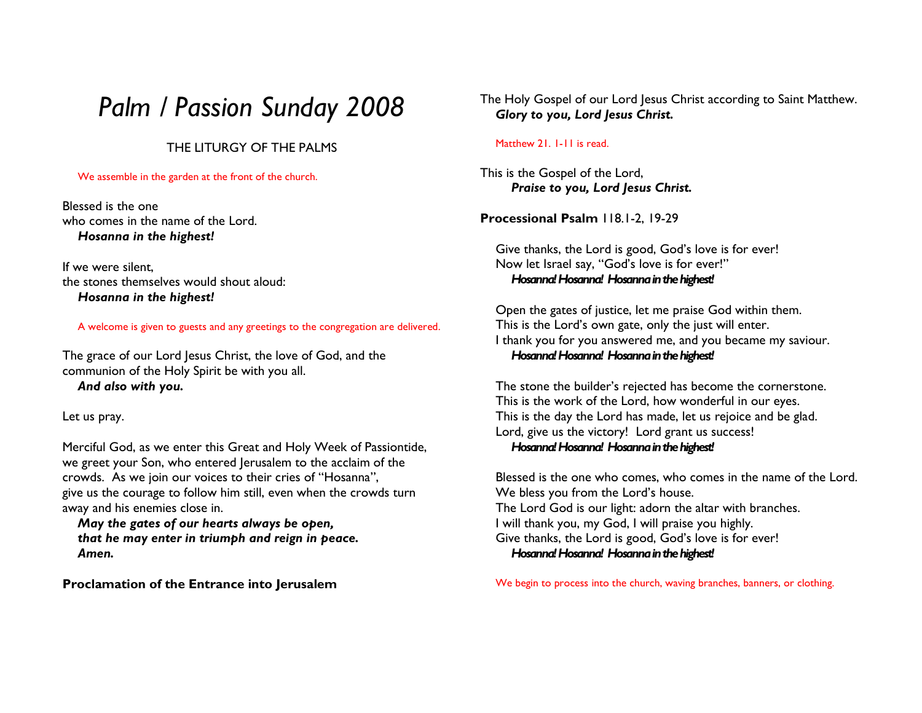# Palm / Passion Sunday 2008

### THE LITURGY OF THE PALMS

#### We assemble in the garden at the front of the church.

Blessed is the one who comes in the name of the Lord.Hosanna in the highest!

If we were silent, the stones themselves would shout aloud:Hosanna in the highest!

#### A welcome is given to guests and any greetings to the congregation are delivered.

The grace of our Lord Jesus Christ, the love of God, and the communion of the Holy Spirit be with you all. And also with you.

Let us pray.

Merciful God, as we enter this Great and Holy Week of Passiontide, we greet your Son, who entered Jerusalem to the acclaim of the crowds. As we join our voices to their cries of "Hosanna", give us the courage to follow him still, even when the crowds turn away and his enemies close in.

 May the gates of our hearts always be open, that he may enter in triumph and reign in peace. Amen.

Proclamation of the Entrance into Jerusalem

The Holy Gospel of our Lord Jesus Christ according to Saint Matthew. Glory to you, Lord Jesus Christ.

#### Matthew 21. 1-11 is read.

This is the Gospel of the Lord, Praise to you, Lord Jesus Christ.

Processional Psalm 118.1-2, 19-29

Give thanks, the Lord is good, God's love is for ever! Now let Israel say, "God's love is for ever!" Hosanna! Hosanna! Hosanna in the highest!

Open the gates of justice, let me praise God within them. This is the Lord's own gate, only the just will enter. I thank you for you answered me, and you became my saviour. Hosanna! Hosanna! Hosanna in the highest!

The stone the builder's rejected has become the cornerstone. This is the work of the Lord, how wonderful in our eyes. This is the day the Lord has made, let us rejoice and be glad. Lord, give us the victory! Lord grant us success! Hosanna! Hosanna! Hosanna in the highest!

Blessed is the one who comes, who comes in the name of the Lord. We bless you from the Lord's house. The Lord God is our light: adorn the altar with branches. I will thank you, my God, I will praise you highly. Give thanks, the Lord is good, God's love is for ever! Hosanna! Hosanna! Hosanna in the highest!

We begin to process into the church, waving branches, banners, or clothing.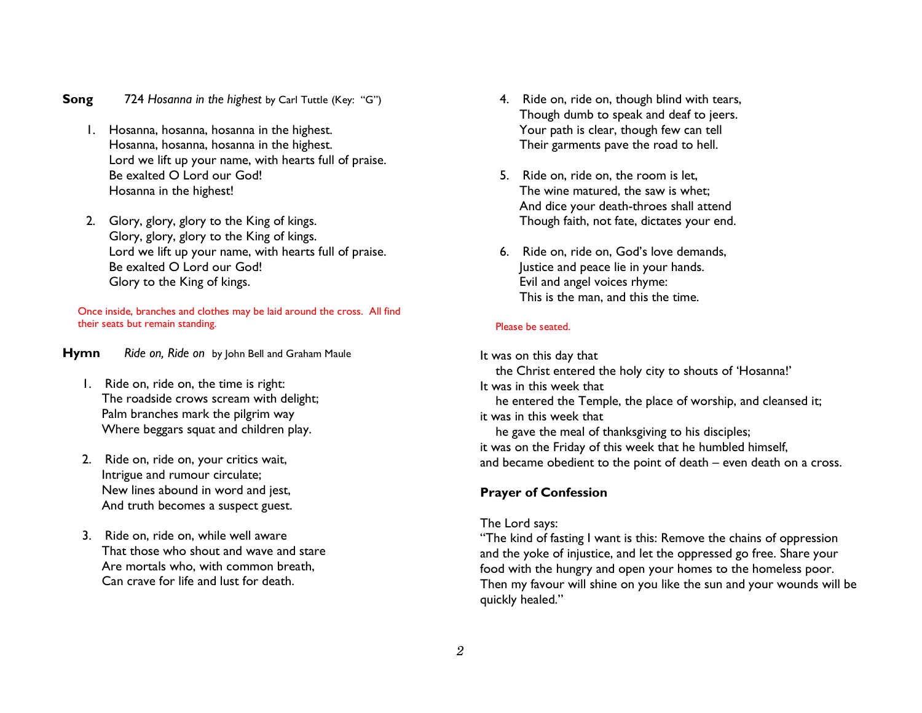- **Song 724** Hosanna in the highest by Carl Tuttle (Key: "G")
	- 1. Hosanna, hosanna, hosanna in the highest. Hosanna, hosanna, hosanna in the highest. Lord we lift up your name, with hearts full of praise. Be exalted O Lord our God! Hosanna in the highest!
	- 2. Glory, glory, glory to the King of kings. Glory, glory, glory to the King of kings. Lord we lift up your name, with hearts full of praise. Be exalted O Lord our God! Glory to the King of kings.

Once inside, branches and clothes may be laid around the cross. All find their seats but remain standing.

HymnRide on, Ride on by John Bell and Graham Maule

- 1. Ride on, ride on, the time is right: The roadside crows scream with delight; Palm branches mark the pilgrim way Where beggars squat and children play.
- 2. Ride on, ride on, your critics wait, Intrigue and rumour circulate; New lines abound in word and jest, And truth becomes a suspect guest.
- 3. Ride on, ride on, while well aware That those who shout and wave and stare Are mortals who, with common breath, Can crave for life and lust for death.
- 4. Ride on, ride on, though blind with tears, Though dumb to speak and deaf to jeers. Your path is clear, though few can tell Their garments pave the road to hell.
- 5. Ride on, ride on, the room is let, The wine matured, the saw is whet; And dice your death-throes shall attend Though faith, not fate, dictates your end.
- 6. Ride on, ride on, God's love demands, Justice and peace lie in your hands. Evil and angel voices rhyme: This is the man, and this the time.

#### Please be seated.

It was on this day that the Christ entered the holy city to shouts of 'Hosanna!' It was in this week that he entered the Temple, the place of worship, and cleansed it; it was in this week that he gave the meal of thanksgiving to his disciples; it was on the Friday of this week that he humbled himself, and became obedient to the point of death – even death on a cross.

#### Prayer of Confession

#### The Lord says:

 "The kind of fasting I want is this: Remove the chains of oppression and the yoke of injustice, and let the oppressed go free. Share your food with the hungry and open your homes to the homeless poor. Then my favour will shine on you like the sun and your wounds will be quickly healed."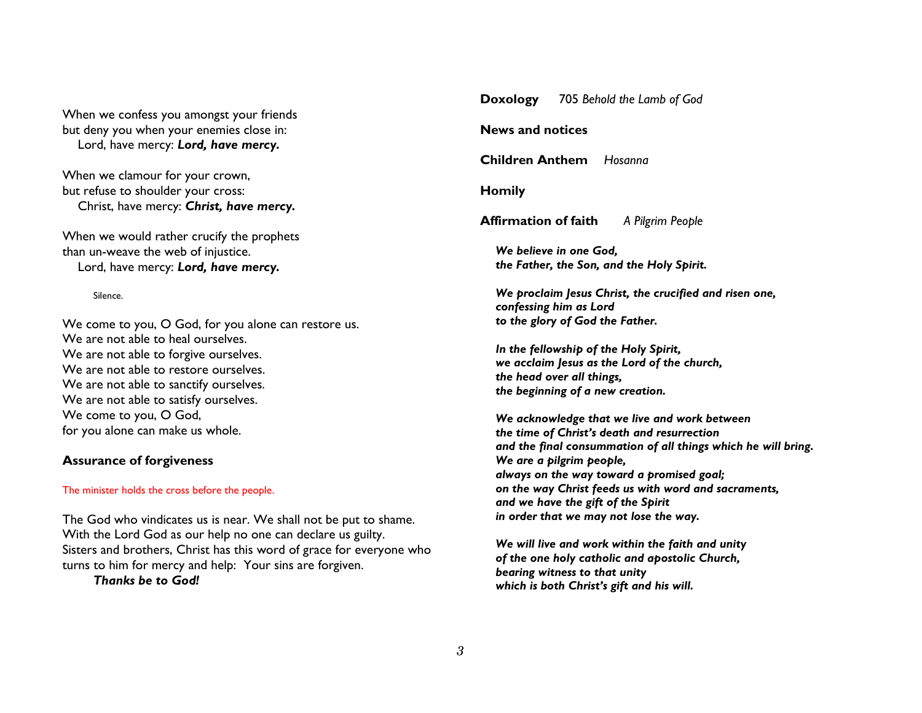When we confess you amongst your friends but deny you when your enemies close in: Lord, have mercy: Lord, have mercy.

When we clamour for your crown, but refuse to shoulder your cross: Christ, have mercy: Christ, have mercy.

When we would rather crucify the prophets than un-weave the web of injustice. Lord, have mercy: Lord, have mercy.

Silence.

We come to you, O God, for you alone can restore us. We are not able to heal ourselves. We are not able to forgive ourselves. We are not able to restore ourselves. We are not able to sanctify ourselves. We are not able to satisfy ourselves. We come to you, O God, for you alone can make us whole.

### Assurance of forgiveness

#### The minister holds the cross before the people.

The God who vindicates us is near. We shall not be put to shame. With the Lord God as our help no one can declare us guilty. Sisters and brothers, Christ has this word of grace for everyone who turns to him for mercy and help: Your sins are forgiven.

Thanks be to God!

Doxology 705 Behold the Lamb of God News and notices Children Anthem Hosanna Homily **Affirmation of faith** A Pilgrim People We believe in one God, the Father, the Son, and the Holy Spirit. We proclaim Jesus Christ, the crucified and risen one, confessing him as Lord to the glory of God the Father. In the fellowship of the Holy Spirit, we acclaim Jesus as the Lord of the church, the head over all things, the beginning of a new creation. We acknowledge that we live and work between the time of Christ's death and resurrection and the final consummation of all things which he will bring. We are a pilgrim people, always on the way toward a promised goal; on the way Christ feeds us with word and sacraments, and we have the gift of the Spirit in order that we may not lose the way. We will live and work within the faith and unity of the one holy catholic and apostolic Church,

bearing witness to that unity

which is both Christ's gift and his will.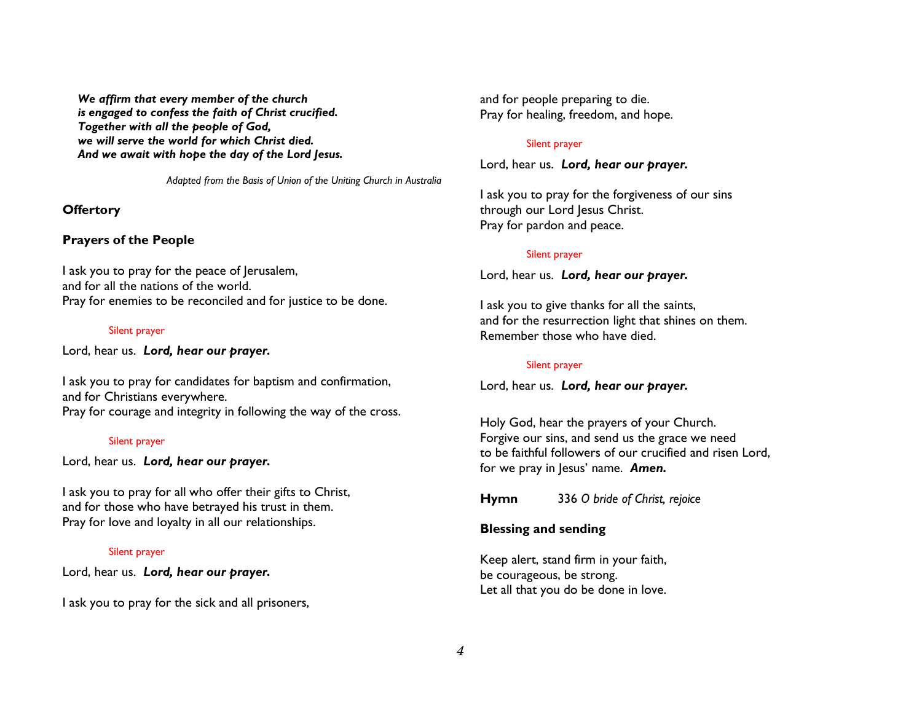We affirm that every member of the church is engaged to confess the faith of Christ crucified. Together with all the people of God, we will serve the world for which Christ died. And we await with hope the day of the Lord Jesus.

Adapted from the Basis of Union of the Uniting Church in Australia

### **Offertory**

### Prayers of the People

I ask you to pray for the peace of Jerusalem, and for all the nations of the world. Pray for enemies to be reconciled and for justice to be done.

#### Silent prayer

Lord, hear us. Lord, hear our prayer.

I ask you to pray for candidates for baptism and confirmation, and for Christians everywhere. Pray for courage and integrity in following the way of the cross.

### Silent prayer

Lord, hear us. Lord, hear our prayer.

I ask you to pray for all who offer their gifts to Christ, and for those who have betrayed his trust in them. Pray for love and loyalty in all our relationships.

### Silent prayer

Lord, hear us. Lord, hear our prayer.

I ask you to pray for the sick and all prisoners,

and for people preparing to die. Pray for healing, freedom, and hope.

### Silent prayer

Lord, hear us. Lord, hear our prayer.

I ask you to pray for the forgiveness of our sins through our Lord Jesus Christ. Pray for pardon and peace.

### Silent prayer

Lord, hear us. Lord, hear our prayer.

I ask you to give thanks for all the saints, and for the resurrection light that shines on them. Remember those who have died.

### Silent prayer

Lord, hear us. Lord, hear our prayer.

Holy God, hear the prayers of your Church. Forgive our sins, and send us the grace we need to be faithful followers of our crucified and risen Lord, for we pray in Jesus' name. Amen.

Hymn 336 O bride of Christ, rejoice

### Blessing and sending

Keep alert, stand firm in your faith, be courageous, be strong. Let all that you do be done in love.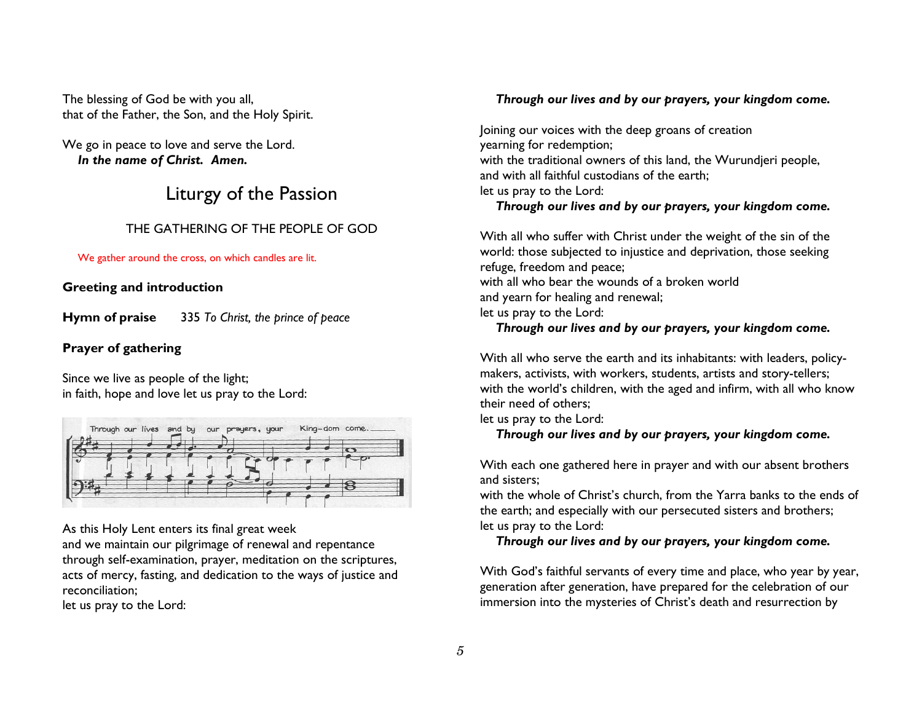The blessing of God be with you all, that of the Father, the Son, and the Holy Spirit.

We go in peace to love and serve the Lord. In the name of Christ. Amen.

## Liturgy of the Passion

### THE GATHERING OF THE PEOPLE OF GOD

We gather around the cross, on which candles are lit.

### Greeting and introduction

Hymn of praise 335 To Christ, the prince of peace

### Prayer of gathering

Since we live as people of the light; in faith, hope and love let us pray to the Lord:



As this Holy Lent enters its final great week

 and we maintain our pilgrimage of renewal and repentance through self-examination, prayer, meditation on the scriptures, acts of mercy, fasting, and dedication to the ways of justice and reconciliation;

let us pray to the Lord:

### Through our lives and by our prayers, your kingdom come.

Joining our voices with the deep groans of creationyearning for redemption; with the traditional owners of this land, the Wurundjeri people, and with all faithful custodians of the earth; let us pray to the Lord: Through our lives and by our prayers, your kingdom come.

With all who suffer with Christ under the weight of the sin of the world: those subjected to injustice and deprivation, those seeking refuge, freedom and peace; with all who bear the wounds of a broken world and yearn for healing and renewal; let us pray to the Lord: Through our lives and by our prayers, your kingdom come.

With all who serve the earth and its inhabitants: with leaders, policymakers, activists, with workers, students, artists and story-tellers; with the world's children, with the aged and infirm, with all who know their need of others;

let us pray to the Lord:

Through our lives and by our prayers, your kingdom come.

With each one gathered here in prayer and with our absent brothers and sisters;

 with the whole of Christ's church, from the Yarra banks to the ends of the earth; and especially with our persecuted sisters and brothers; let us pray to the Lord:

Through our lives and by our prayers, your kingdom come.

With God's faithful servants of every time and place, who year by year, generation after generation, have prepared for the celebration of our immersion into the mysteries of Christ's death and resurrection by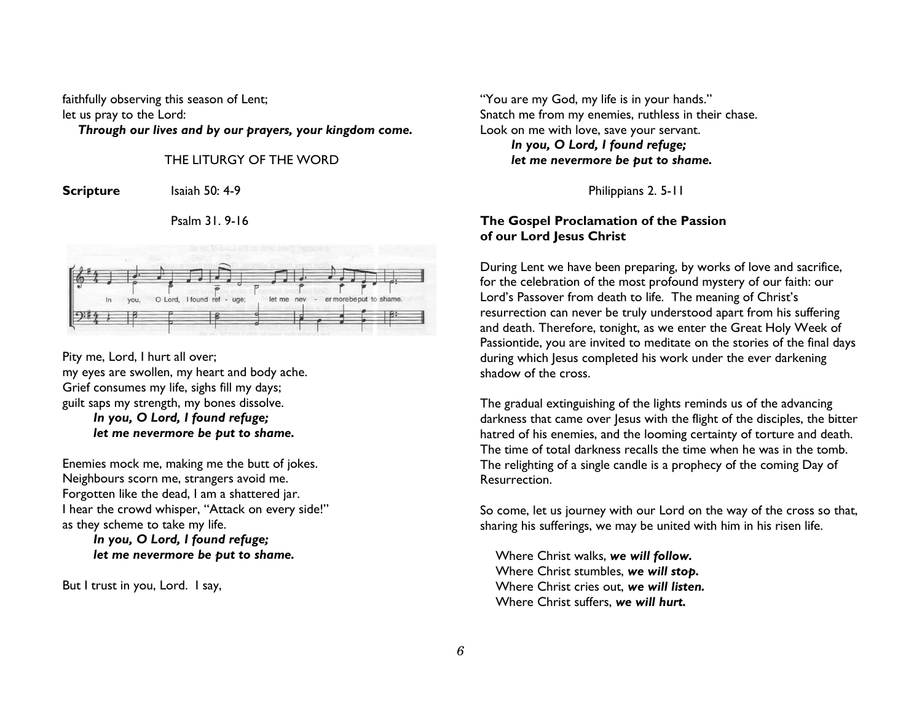faithfully observing this season of Lent; let us pray to the Lord:

Through our lives and by our prayers, your kingdom come.

### THE LITURGY OF THE WORD

Scripture Isaiah 50: 4-9

Psalm 31. 9-16



Pity me, Lord, I hurt all over; my eyes are swollen, my heart and body ache. Grief consumes my life, sighs fill my days; guilt saps my strength, my bones dissolve. In you, O Lord, I found refuge; let me nevermore be put to shame.

Enemies mock me, making me the butt of jokes. Neighbours scorn me, strangers avoid me. Forgotten like the dead, I am a shattered jar. I hear the crowd whisper, "Attack on every side!" as they scheme to take my life.

### In you, O Lord, I found refuge; let me nevermore be put to shame.

But I trust in you, Lord. I say,

"You are my God, my life is in your hands." Snatch me from my enemies, ruthless in their chase. Look on me with love, save your servant. In you, O Lord, I found refuge; let me nevermore be put to shame.

Philippians 2. 5-11

### The Gospel Proclamation of the Passion of our Lord Jesus Christ

During Lent we have been preparing, by works of love and sacrifice, for the celebration of the most profound mystery of our faith: our Lord's Passover from death to life. The meaning of Christ's resurrection can never be truly understood apart from his suffering and death. Therefore, tonight, as we enter the Great Holy Week of Passiontide, you are invited to meditate on the stories of the final days during which Jesus completed his work under the ever darkening shadow of the cross.

The gradual extinguishing of the lights reminds us of the advancing darkness that came over Jesus with the flight of the disciples, the bitter hatred of his enemies, and the looming certainty of torture and death. The time of total darkness recalls the time when he was in the tomb. The relighting of a single candle is a prophecy of the coming Day of Resurrection.

So come, let us journey with our Lord on the way of the cross so that, sharing his sufferings, we may be united with him in his risen life.

 Where Christ walks, we will follow. Where Christ stumbles, we will stop. Where Christ cries out, we will listen. Where Christ suffers, we will hurt.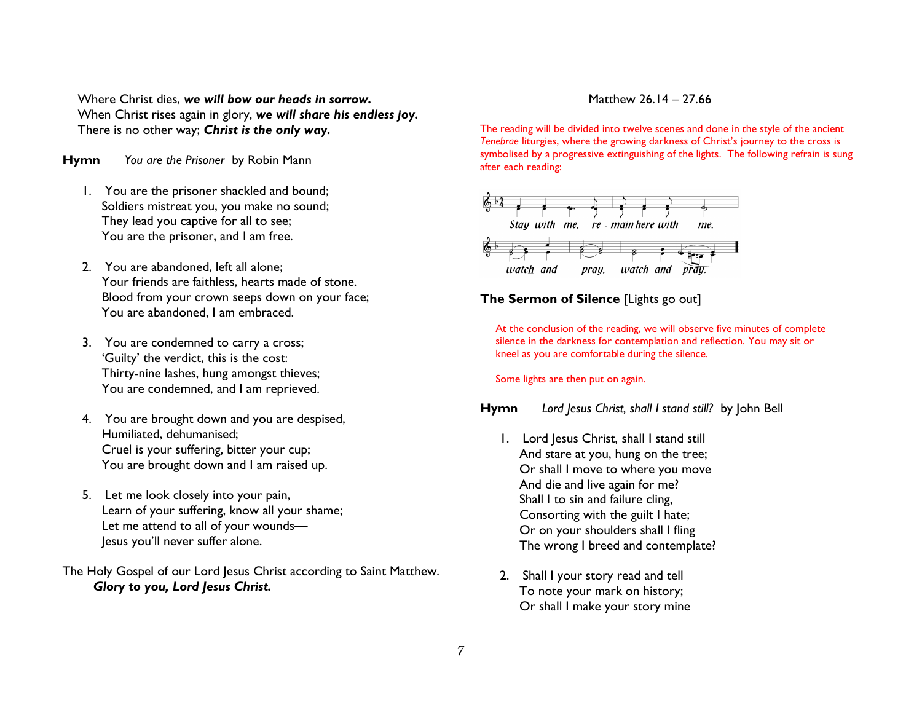Where Christ dies, we will bow our heads in sorrow. When Christ rises again in glory, we will share his endless joy. There is no other way; Christ is the only way.

HymnYou are the Prisoner by Robin Mann

- 1. You are the prisoner shackled and bound; Soldiers mistreat you, you make no sound; They lead you captive for all to see; You are the prisoner, and I am free.
- 2. You are abandoned, left all alone; Your friends are faithless, hearts made of stone. Blood from your crown seeps down on your face; You are abandoned, I am embraced.
- 3. You are condemned to carry a cross; 'Guilty' the verdict, this is the cost: Thirty-nine lashes, hung amongst thieves; You are condemned, and I am reprieved.
- 4. You are brought down and you are despised, Humiliated, dehumanised; Cruel is your suffering, bitter your cup; You are brought down and I am raised up.
- 5. Let me look closely into your pain, Learn of your suffering, know all your shame; Let me attend to all of your wounds— Jesus you'll never suffer alone.

The Holy Gospel of our Lord Jesus Christ according to Saint Matthew. Glory to you, Lord Jesus Christ.

#### Matthew 26.14 – 27.66

The reading will be divided into twelve scenes and done in the style of the ancient Tenebrae liturgies, where the growing darkness of Christ's journey to the cross is symbolised by a progressive extinguishing of the lights. The following refrain is sung after each reading:



### The Sermon of Silence [Lights go out]

At the conclusion of the reading, we will observe five minutes of complete silence in the darkness for contemplation and reflection. You may sit or kneel as you are comfortable during the silence.

Some lights are then put on again.

HymnLord Jesus Christ, shall I stand still? by John Bell

- 1. Lord Jesus Christ, shall I stand still And stare at you, hung on the tree; Or shall I move to where you move And die and live again for me? Shall I to sin and failure cling, Consorting with the guilt I hate; Or on your shoulders shall I fling The wrong I breed and contemplate?
- 2. Shall I your story read and tell To note your mark on history; Or shall I make your story mine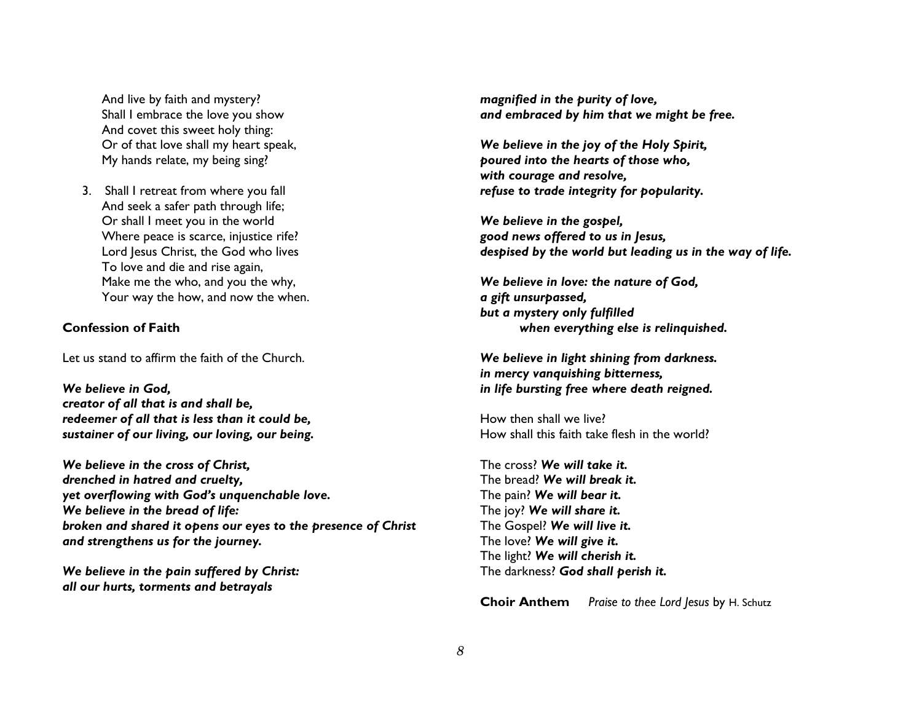And live by faith and mystery? Shall I embrace the love you show And covet this sweet holy thing: Or of that love shall my heart speak, My hands relate, my being sing?

3. Shall I retreat from where you fall And seek a safer path through life; Or shall I meet you in the world Where peace is scarce, injustice rife? Lord Jesus Christ, the God who lives To love and die and rise again, Make me the who, and you the why, Your way the how, and now the when.

#### Confession of Faith

Let us stand to affirm the faith of the Church.

We believe in God, creator of all that is and shall be, redeemer of all that is less than it could be, sustainer of our living, our loving, our being.

We believe in the cross of Christ, drenched in hatred and cruelty, yet overflowing with God's unquenchable love. We believe in the bread of life: broken and shared it opens our eyes to the presence of Christ and strengthens us for the journey.

We believe in the pain suffered by Christ: all our hurts, torments and betrayals

magnified in the purity of love, and embraced by him that we might be free.

We believe in the joy of the Holy Spirit, poured into the hearts of those who, with courage and resolve, refuse to trade integrity for popularity.

We believe in the gospel, good news offered to us in Jesus, despised by the world but leading us in the way of life.

We believe in love: the nature of God, a gift unsurpassed, but a mystery only fulfilled when everything else is relinquished.

We believe in light shining from darkness. in mercy vanquishing bitterness, in life bursting free where death reigned.

How then shall we live? How shall this faith take flesh in the world?

The cross? We will take it.The bread? We will break it.The pain? We will bear it. The joy? We will share it. The Gospel? We will live it. The love? We will give it. The light? We will cherish it. The darkness? God shall perish it.

**Choir Anthem** Praise to thee Lord Jesus by H. Schutz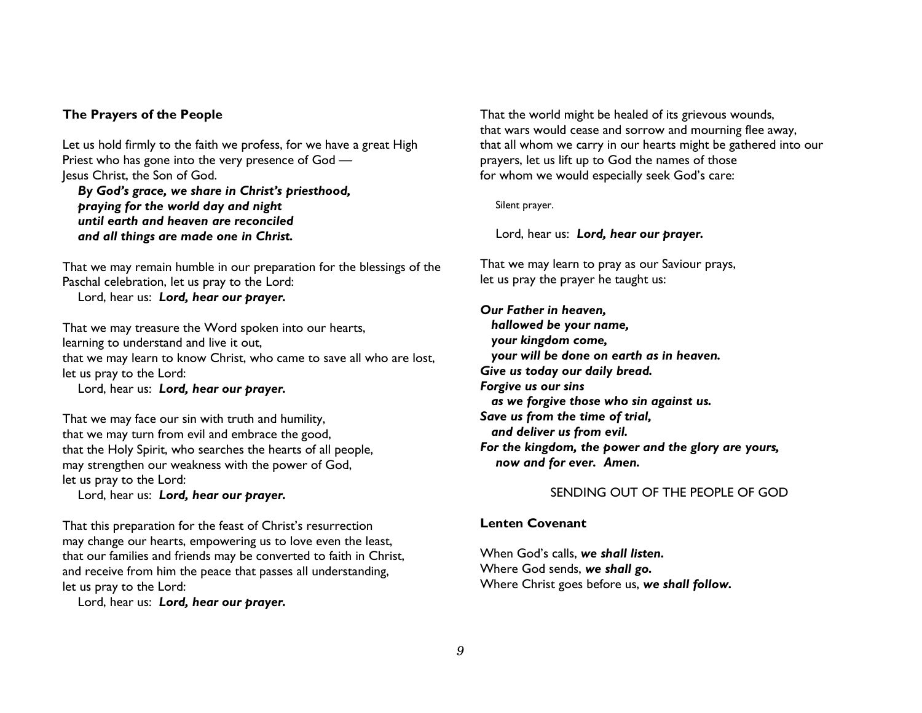#### The Prayers of the People

Let us hold firmly to the faith we profess, for we have a great High Priest who has gone into the very presence of God —Jesus Christ, the Son of God.

 By God's grace, we share in Christ's priesthood, praying for the world day and night until earth and heaven are reconciled and all things are made one in Christ.

That we may remain humble in our preparation for the blessings of the Paschal celebration, let us pray to the Lord: Lord, hear us: Lord, hear our prayer.

That we may treasure the Word spoken into our hearts, learning to understand and live it out, that we may learn to know Christ, who came to save all who are lost, let us pray to the Lord:

Lord, hear us: Lord, hear our prayer.

That we may face our sin with truth and humility, that we may turn from evil and embrace the good, that the Holy Spirit, who searches the hearts of all people, may strengthen our weakness with the power of God, let us pray to the Lord:

Lord, hear us: Lord, hear our prayer.

That this preparation for the feast of Christ's resurrection may change our hearts, empowering us to love even the least, that our families and friends may be converted to faith in Christ, and receive from him the peace that passes all understanding, let us pray to the Lord:

Lord, hear us: Lord, hear our prayer.

That the world might be healed of its grievous wounds, that wars would cease and sorrow and mourning flee away, that all whom we carry in our hearts might be gathered into our prayers, let us lift up to God the names of those for whom we would especially seek God's care:

Silent prayer.

Lord, hear us: Lord, hear our prayer.

That we may learn to pray as our Saviour prays, let us pray the prayer he taught us:

Our Father in heaven, hallowed be your name, your kingdom come, your will be done on earth as in heaven. Give us today our daily bread. Forgive us our sins as we forgive those who sin against us. Save us from the time of trial, and deliver us from evil. For the kingdom, the power and the glory are yours,now and for ever. Amen.

### SENDING OUT OF THE PEOPLE OF GOD

#### Lenten Covenant

When God's calls, we shall listen. Where God sends, we shall go. Where Christ goes before us, we shall follow.